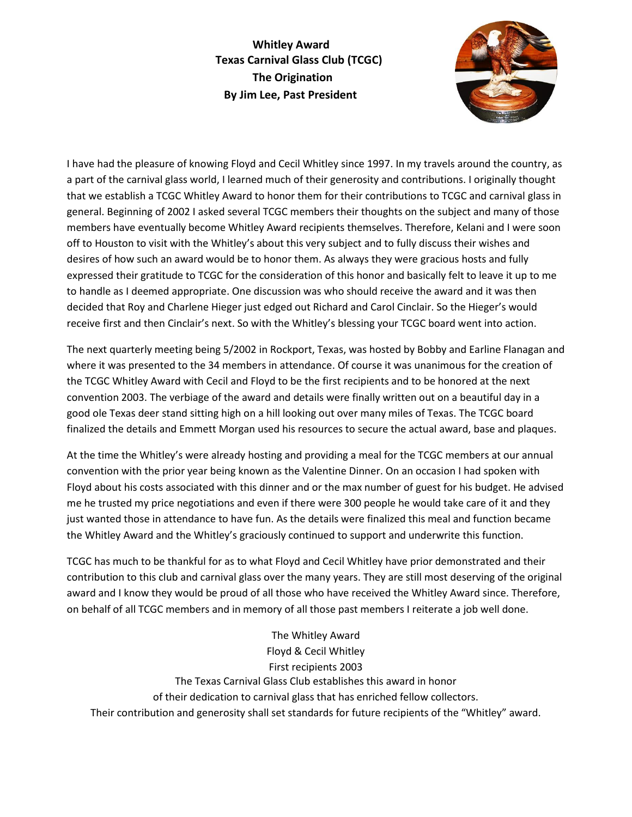**Whitley Award Texas Carnival Glass Club (TCGC) The Origination By Jim Lee, Past President**



I have had the pleasure of knowing Floyd and Cecil Whitley since 1997. In my travels around the country, as a part of the carnival glass world, I learned much of their generosity and contributions. I originally thought that we establish a TCGC Whitley Award to honor them for their contributions to TCGC and carnival glass in general. Beginning of 2002 I asked several TCGC members their thoughts on the subject and many of those members have eventually become Whitley Award recipients themselves. Therefore, Kelani and I were soon off to Houston to visit with the Whitley's about this very subject and to fully discuss their wishes and desires of how such an award would be to honor them. As always they were gracious hosts and fully expressed their gratitude to TCGC for the consideration of this honor and basically felt to leave it up to me to handle as I deemed appropriate. One discussion was who should receive the award and it was then decided that Roy and Charlene Hieger just edged out Richard and Carol Cinclair. So the Hieger's would receive first and then Cinclair's next. So with the Whitley's blessing your TCGC board went into action.

The next quarterly meeting being 5/2002 in Rockport, Texas, was hosted by Bobby and Earline Flanagan and where it was presented to the 34 members in attendance. Of course it was unanimous for the creation of the TCGC Whitley Award with Cecil and Floyd to be the first recipients and to be honored at the next convention 2003. The verbiage of the award and details were finally written out on a beautiful day in a good ole Texas deer stand sitting high on a hill looking out over many miles of Texas. The TCGC board finalized the details and Emmett Morgan used his resources to secure the actual award, base and plaques.

At the time the Whitley's were already hosting and providing a meal for the TCGC members at our annual convention with the prior year being known as the Valentine Dinner. On an occasion I had spoken with Floyd about his costs associated with this dinner and or the max number of guest for his budget. He advised me he trusted my price negotiations and even if there were 300 people he would take care of it and they just wanted those in attendance to have fun. As the details were finalized this meal and function became the Whitley Award and the Whitley's graciously continued to support and underwrite this function.

TCGC has much to be thankful for as to what Floyd and Cecil Whitley have prior demonstrated and their contribution to this club and carnival glass over the many years. They are still most deserving of the original award and I know they would be proud of all those who have received the Whitley Award since. Therefore, on behalf of all TCGC members and in memory of all those past members I reiterate a job well done.

The Whitley Award Floyd & Cecil Whitley First recipients 2003 The Texas Carnival Glass Club establishes this award in honor of their dedication to carnival glass that has enriched fellow collectors. Their contribution and generosity shall set standards for future recipients of the "Whitley" award.